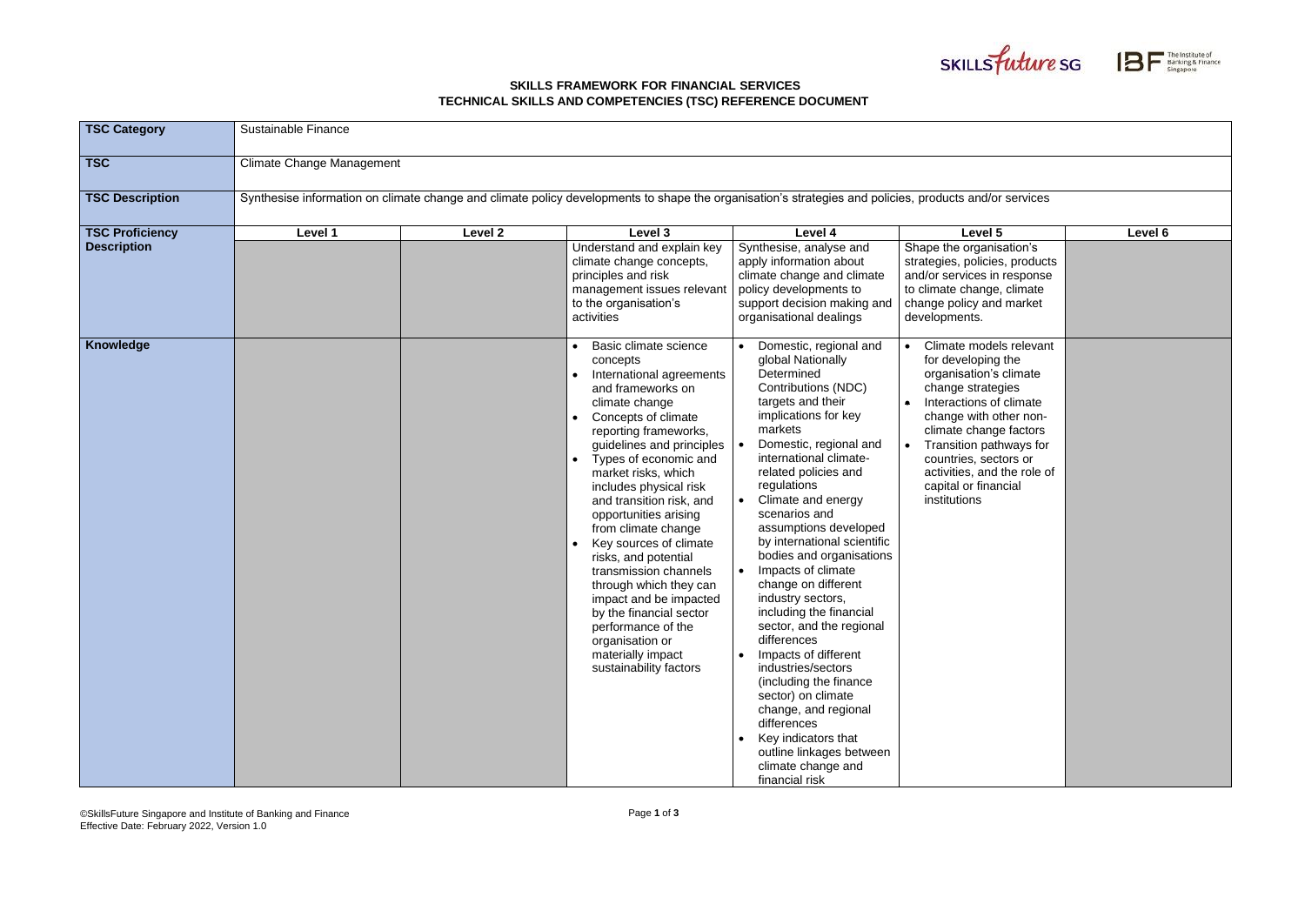## **SKILLS FRAMEWORK FOR FINANCIAL SERVICES TECHNICAL SKILLS AND COMPETENCIES (TSC) REFERENCE DOCUMENT**





| <b>TSC Category</b>    | Sustainable Finance                                                                                                                                    |         |                                                                                                                                                                                                                                                                                                                                                                                                                                                                                                                                                                                           |                                                                                                                                                                                                                                                                                                                                                                                                                                                                                                                                                                                                                                                                                                                                        |                                                                                                                                                                                                                                                                                                        |         |  |  |  |
|------------------------|--------------------------------------------------------------------------------------------------------------------------------------------------------|---------|-------------------------------------------------------------------------------------------------------------------------------------------------------------------------------------------------------------------------------------------------------------------------------------------------------------------------------------------------------------------------------------------------------------------------------------------------------------------------------------------------------------------------------------------------------------------------------------------|----------------------------------------------------------------------------------------------------------------------------------------------------------------------------------------------------------------------------------------------------------------------------------------------------------------------------------------------------------------------------------------------------------------------------------------------------------------------------------------------------------------------------------------------------------------------------------------------------------------------------------------------------------------------------------------------------------------------------------------|--------------------------------------------------------------------------------------------------------------------------------------------------------------------------------------------------------------------------------------------------------------------------------------------------------|---------|--|--|--|
| <b>TSC</b>             | <b>Climate Change Management</b>                                                                                                                       |         |                                                                                                                                                                                                                                                                                                                                                                                                                                                                                                                                                                                           |                                                                                                                                                                                                                                                                                                                                                                                                                                                                                                                                                                                                                                                                                                                                        |                                                                                                                                                                                                                                                                                                        |         |  |  |  |
| <b>TSC Description</b> | Synthesise information on climate change and climate policy developments to shape the organisation's strategies and policies, products and/or services |         |                                                                                                                                                                                                                                                                                                                                                                                                                                                                                                                                                                                           |                                                                                                                                                                                                                                                                                                                                                                                                                                                                                                                                                                                                                                                                                                                                        |                                                                                                                                                                                                                                                                                                        |         |  |  |  |
| <b>TSC Proficiency</b> | Level 1                                                                                                                                                | Level 2 | Level 3                                                                                                                                                                                                                                                                                                                                                                                                                                                                                                                                                                                   | Level 4                                                                                                                                                                                                                                                                                                                                                                                                                                                                                                                                                                                                                                                                                                                                | Level 5                                                                                                                                                                                                                                                                                                | Level 6 |  |  |  |
| <b>Description</b>     |                                                                                                                                                        |         | Understand and explain key<br>climate change concepts,<br>principles and risk<br>management issues relevant<br>to the organisation's<br>activities                                                                                                                                                                                                                                                                                                                                                                                                                                        | Synthesise, analyse and<br>apply information about<br>climate change and climate<br>policy developments to<br>support decision making and<br>organisational dealings                                                                                                                                                                                                                                                                                                                                                                                                                                                                                                                                                                   | Shape the organisation's<br>strategies, policies, products<br>and/or services in response<br>to climate change, climate<br>change policy and market<br>developments.                                                                                                                                   |         |  |  |  |
| Knowledge              |                                                                                                                                                        |         | Basic climate science<br>concepts<br>International agreements<br>and frameworks on<br>climate change<br>Concepts of climate<br>reporting frameworks,<br>guidelines and principles<br>Types of economic and<br>market risks, which<br>includes physical risk<br>and transition risk, and<br>opportunities arising<br>from climate change<br>Key sources of climate<br>risks, and potential<br>transmission channels<br>through which they can<br>impact and be impacted<br>by the financial sector<br>performance of the<br>organisation or<br>materially impact<br>sustainability factors | Domestic, regional and<br>global Nationally<br>Determined<br>Contributions (NDC)<br>targets and their<br>implications for key<br>markets<br>Domestic, regional and<br>international climate-<br>related policies and<br>regulations<br>Climate and energy<br>scenarios and<br>assumptions developed<br>by international scientific<br>bodies and organisations<br>Impacts of climate<br>change on different<br>industry sectors,<br>including the financial<br>sector, and the regional<br>differences<br>Impacts of different<br>industries/sectors<br>(including the finance<br>sector) on climate<br>change, and regional<br>differences<br>Key indicators that<br>outline linkages between<br>climate change and<br>financial risk | Climate models relevant<br>for developing the<br>organisation's climate<br>change strategies<br>Interactions of climate<br>change with other non-<br>climate change factors<br>Transition pathways for<br>countries, sectors or<br>activities, and the role of<br>capital or financial<br>institutions |         |  |  |  |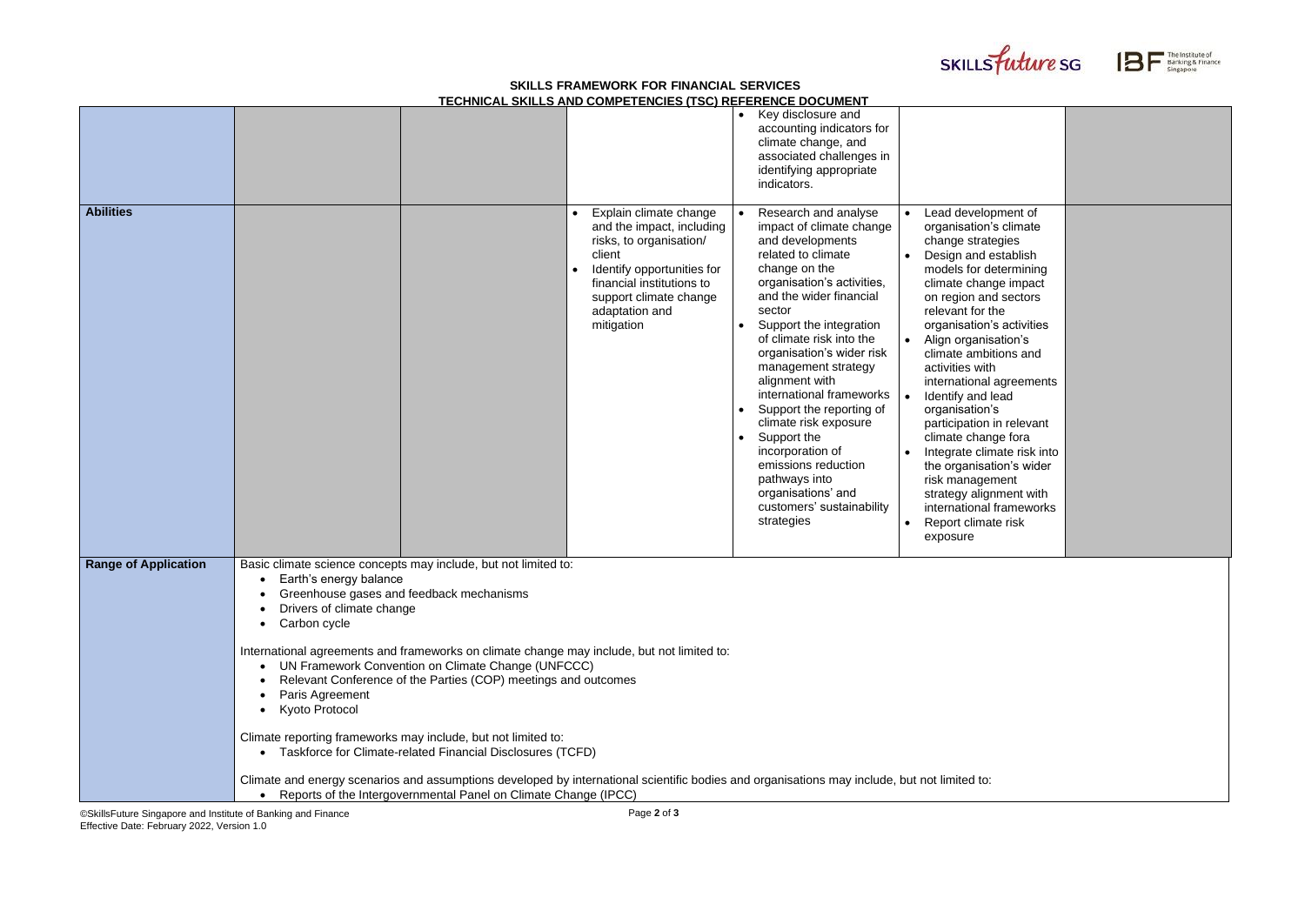©SkillsFuture Singapore and Institute of Banking and Finance Effective Date: February 2022, Version 1.0

## **SKILLS FRAMEWORK FOR FINANCIAL SERVICES TECHNICAL SKILLS AND COMPETENCIES (TSC) REFERENCE DOCUMENT**





|                             |                                                                                                                                                                                                                                                                                                                                                                                                                                                                                                                                                                                                                                                                                                                                                                                                   | LOTINIONE ONIELD AND OOM! LI LINOILD (TOO) NET ENLINGE DOOOMENT                                                                                                                                               |                                                                                                                                                                                                                                                                                                                                                                                                                                                                                                                                          |                                                                                                                                                                                                                                                                                                                                                                                                                                                                                                                                                                                            |  |
|-----------------------------|---------------------------------------------------------------------------------------------------------------------------------------------------------------------------------------------------------------------------------------------------------------------------------------------------------------------------------------------------------------------------------------------------------------------------------------------------------------------------------------------------------------------------------------------------------------------------------------------------------------------------------------------------------------------------------------------------------------------------------------------------------------------------------------------------|---------------------------------------------------------------------------------------------------------------------------------------------------------------------------------------------------------------|------------------------------------------------------------------------------------------------------------------------------------------------------------------------------------------------------------------------------------------------------------------------------------------------------------------------------------------------------------------------------------------------------------------------------------------------------------------------------------------------------------------------------------------|--------------------------------------------------------------------------------------------------------------------------------------------------------------------------------------------------------------------------------------------------------------------------------------------------------------------------------------------------------------------------------------------------------------------------------------------------------------------------------------------------------------------------------------------------------------------------------------------|--|
|                             |                                                                                                                                                                                                                                                                                                                                                                                                                                                                                                                                                                                                                                                                                                                                                                                                   |                                                                                                                                                                                                               | Key disclosure and<br>$\bullet$<br>accounting indicators for<br>climate change, and<br>associated challenges in<br>identifying appropriate<br>indicators.                                                                                                                                                                                                                                                                                                                                                                                |                                                                                                                                                                                                                                                                                                                                                                                                                                                                                                                                                                                            |  |
| <b>Abilities</b>            |                                                                                                                                                                                                                                                                                                                                                                                                                                                                                                                                                                                                                                                                                                                                                                                                   | Explain climate change<br>and the impact, including<br>risks, to organisation/<br>client<br>Identify opportunities for<br>financial institutions to<br>support climate change<br>adaptation and<br>mitigation | Research and analyse<br>impact of climate change<br>and developments<br>related to climate<br>change on the<br>organisation's activities,<br>and the wider financial<br>sector<br>Support the integration<br>of climate risk into the<br>organisation's wider risk<br>management strategy<br>alignment with<br>international frameworks<br>Support the reporting of<br>climate risk exposure<br>Support the<br>incorporation of<br>emissions reduction<br>pathways into<br>organisations' and<br>customers' sustainability<br>strategies | Lead development of<br>organisation's climate<br>change strategies<br>Design and establish<br>models for determining<br>climate change impact<br>on region and sectors<br>relevant for the<br>organisation's activities<br>Align organisation's<br>climate ambitions and<br>activities with<br>international agreements<br>Identify and lead<br>organisation's<br>participation in relevant<br>climate change fora<br>Integrate climate risk into<br>the organisation's wider<br>risk management<br>strategy alignment with<br>international frameworks<br>Report climate risk<br>exposure |  |
| <b>Range of Application</b> | Basic climate science concepts may include, but not limited to:<br>Earth's energy balance<br>Greenhouse gases and feedback mechanisms<br>Drivers of climate change<br>Carbon cycle<br>International agreements and frameworks on climate change may include, but not limited to:<br>UN Framework Convention on Climate Change (UNFCCC)<br>Relevant Conference of the Parties (COP) meetings and outcomes<br>Paris Agreement<br>Kyoto Protocol<br>Climate reporting frameworks may include, but not limited to:<br>• Taskforce for Climate-related Financial Disclosures (TCFD)<br>Climate and energy scenarios and assumptions developed by international scientific bodies and organisations may include, but not limited to:<br>Reports of the Intergovernmental Panel on Climate Change (IPCC) |                                                                                                                                                                                                               |                                                                                                                                                                                                                                                                                                                                                                                                                                                                                                                                          |                                                                                                                                                                                                                                                                                                                                                                                                                                                                                                                                                                                            |  |